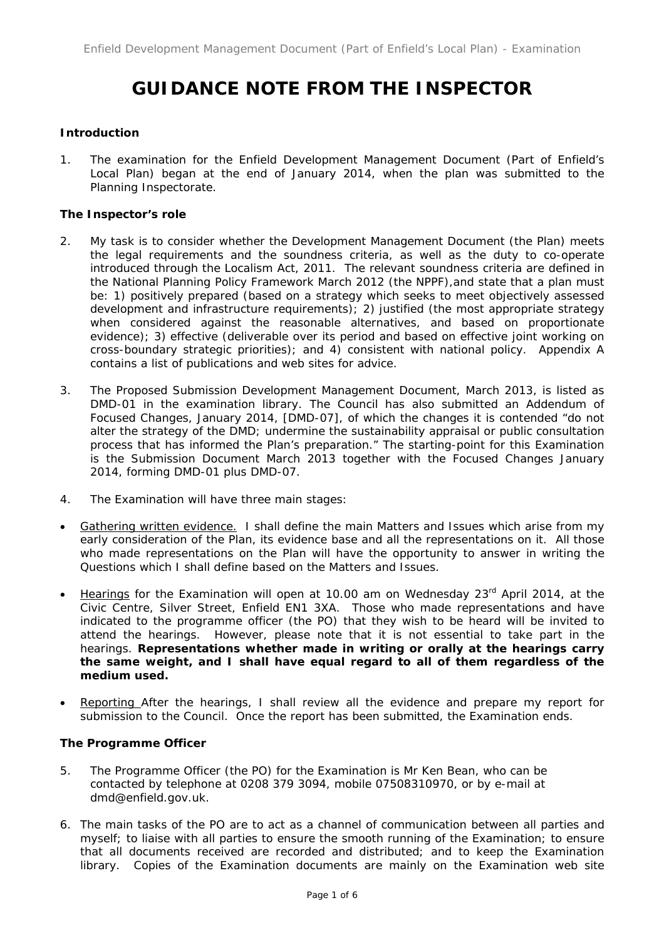# **GUIDANCE NOTE FROM THE INSPECTOR**

# **Introduction**

1. The examination for the Enfield Development Management Document (Part of Enfield's Local Plan) began at the end of January 2014, when the plan was submitted to the Planning Inspectorate.

# **The Inspector's role**

- 2. My task is to consider whether the Development Management Document (the Plan) meets the legal requirements and the soundness criteria, as well as the duty to co-operate introduced through the Localism Act, 2011. The relevant soundness criteria are defined in the National Planning Policy Framework March 2012 (the NPPF),and state that a plan must be: 1) *positively prepared* (based on a strategy which seeks to meet objectively assessed development and infrastructure requirements); 2) *justified* (the most appropriate strategy when considered against the reasonable alternatives, and based on proportionate evidence); 3) *effective* (deliverable over its period and based on effective joint working on cross-boundary strategic priorities); and 4) *consistent* with national policy. Appendix A contains a list of publications and web sites for advice.
- 3. The Proposed Submission Development Management Document, March 2013, is listed as DMD-01 in the examination library. The Council has also submitted an Addendum of Focused Changes, January 2014, [DMD-07], of which the changes it is contended "do not alter the strategy of the DMD; undermine the sustainability appraisal or public consultation process that has informed the Plan's preparation." The starting-point for this Examination is the Submission Document March 2013 together with the Focused Changes January 2014, forming DMD-01 plus DMD-07.
- 4. The Examination will have three main stages:
- Gathering written evidence. I shall define the main Matters and Issues which arise from my early consideration of the Plan, its evidence base and all the representations on it. All those who made representations on the Plan will have the opportunity to answer in writing the Questions which I shall define based on the Matters and Issues.
- Hearings for the Examination will open at 10.00 am on Wednesday 23<sup>rd</sup> April 2014, at the Civic Centre, Silver Street, Enfield EN1 3XA. Those who made representations and have indicated to the programme officer (the PO) that they wish to be heard will be invited to attend the hearings. However, please note that it is not essential to take part in the hearings. **Representations whether made in writing or orally at the hearings carry the same weight, and I shall have equal regard to all of them regardless of the medium used.**
- Reporting After the hearings, I shall review all the evidence and prepare my report for submission to the Council. Once the report has been submitted, the Examination ends.

#### **The Programme Officer**

- 5. The Programme Officer (the PO) for the Examination is Mr Ken Bean, who can be contacted by telephone at 0208 379 3094, mobile 07508310970, or by e-mail at dmd@enfield.gov.uk.
- 6. The main tasks of the PO are to act as a channel of communication between all parties and myself; to liaise with all parties to ensure the smooth running of the Examination; to ensure that all documents received are recorded and distributed; and to keep the Examination library. Copies of the Examination documents are mainly on the Examination web site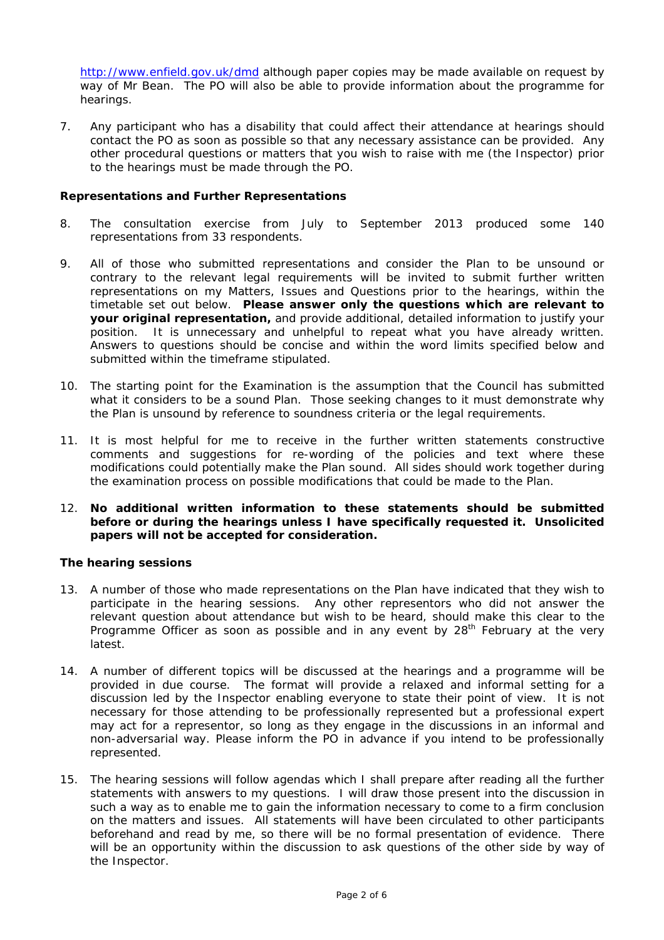http://www.enfield.gov.uk/dmd although paper copies may be made available on request by way of Mr Bean. The PO will also be able to provide information about the programme for hearings.

7. Any participant who has a disability that could affect their attendance at hearings should contact the PO as soon as possible so that any necessary assistance can be provided. Any other procedural questions or matters that you wish to raise with me (the Inspector) prior to the hearings must be made through the PO.

#### **Representations and Further Representations**

- 8. The consultation exercise from July to September 2013 produced some 140 representations from 33 respondents.
- 9. All of those who submitted representations and consider the Plan to be unsound or contrary to the relevant legal requirements will be invited to submit further written representations on my Matters, Issues and Questions prior to the hearings, within the timetable set out below. **Please answer only the questions which are relevant to your original representation,** and provide additional, detailed information to justify your position. It is unnecessary and unhelpful to repeat what you have already written. Answers to questions should be concise and within the word limits specified below and submitted within the timeframe stipulated.
- 10. The starting point for the Examination is the assumption that the Council has submitted what it considers to be a sound Plan. Those seeking changes to it must demonstrate why the Plan is unsound by reference to soundness criteria or the legal requirements.
- 11. It is most helpful for me to receive in the further written statements constructive comments and suggestions for re-wording of the policies and text where these modifications could potentially make the Plan sound. All sides should work together during the examination process on possible modifications that could be made to the Plan.

### 12. **No additional written information to these statements should be submitted before or during the hearings unless I have specifically requested it. Unsolicited papers will not be accepted for consideration.**

#### **The hearing sessions**

- 13. A number of those who made representations on the Plan have indicated that they wish to participate in the hearing sessions. Any other representors who did not answer the relevant question about attendance but wish to be heard, should make this clear to the Programme Officer as soon as possible and in any event by  $28<sup>th</sup>$  February at the very latest.
- 14. A number of different topics will be discussed at the hearings and a programme will be provided in due course. The format will provide a relaxed and informal setting for a discussion led by the Inspector enabling everyone to state their point of view. It is not necessary for those attending to be professionally represented but a professional expert may act for a representor, so long as they engage in the discussions in an informal and non-adversarial way. Please inform the PO in advance if you intend to be professionally represented.
- 15. The hearing sessions will follow agendas which I shall prepare after reading all the further statements with answers to my questions. I will draw those present into the discussion in such a way as to enable me to gain the information necessary to come to a firm conclusion on the matters and issues. All statements will have been circulated to other participants beforehand and read by me, so there will be no formal presentation of evidence. There will be an opportunity within the discussion to ask questions of the other side by way of the Inspector.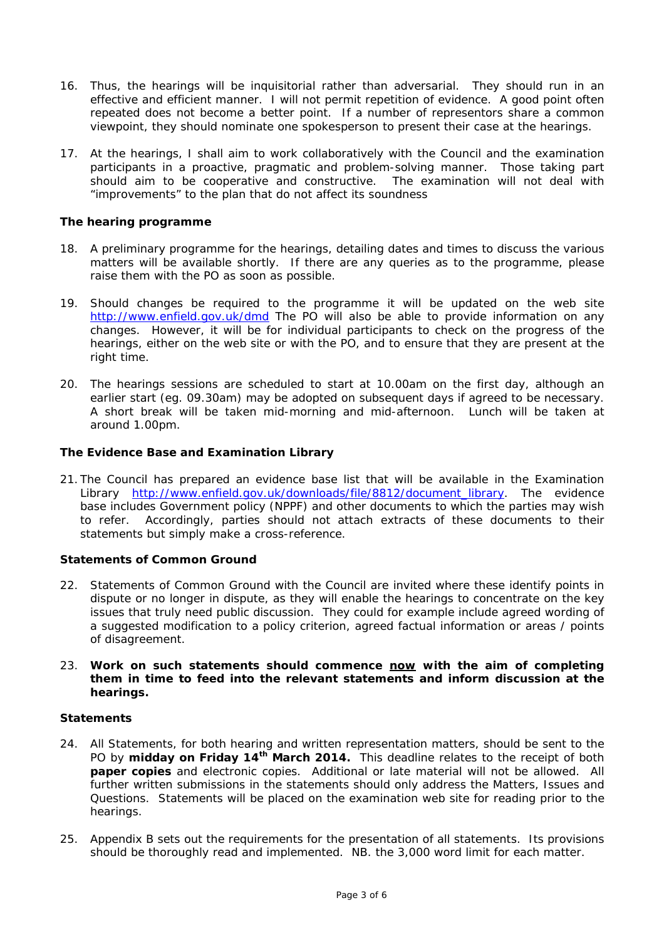- 16. Thus, the hearings will be inquisitorial rather than adversarial. They should run in an effective and efficient manner. I will not permit repetition of evidence. A good point often repeated does not become a better point.If a number of representors share a common viewpoint, they should nominate one spokesperson to present their case at the hearings.
- 17. At the hearings, I shall aim to work collaboratively with the Council and the examination participants in a proactive, pragmatic and problem-solving manner. Those taking part should aim to be cooperative and constructive. The examination will not deal with "improvements" to the plan that do not affect its soundness

#### **The hearing programme**

- 18. A preliminary programme for the hearings, detailing dates and times to discuss the various matters will be available shortly. If there are any queries as to the programme, please raise them with the PO as soon as possible.
- 19. Should changes be required to the programme it will be updated on the web site http://www.enfield.gov.uk/dmd The PO will also be able to provide information on any changes. However, it will be for individual participants to check on the progress of the hearings, either on the web site or with the PO, and to ensure that they are present at the right time.
- 20. The hearings sessions are scheduled to start at 10.00am on the first day, although an earlier start (eg. 09.30am) may be adopted on subsequent days if agreed to be necessary. A short break will be taken mid-morning and mid-afternoon. Lunch will be taken at around 1.00pm.

# **The Evidence Base and Examination Library**

21. The Council has prepared an evidence base list that will be available in the Examination Library http://www.enfield.gov.uk/downloads/file/8812/document\_library. The evidence base includes Government policy (NPPF) and other documents to which the parties may wish to refer. Accordingly, parties should not attach extracts of these documents to their statements but simply make a cross-reference.

#### **Statements of Common Ground**

22. Statements of Common Ground with the Council are invited where these identify points in dispute or no longer in dispute, as they will enable the hearings to concentrate on the key issues that truly need public discussion. They could for example include agreed wording of a suggested modification to a policy criterion, agreed factual information or areas / points of disagreement.

#### 23. **Work on such statements should commence now with the aim of completing them in time to feed into the relevant statements and inform discussion at the hearings.**

#### **Statements**

- 24. All Statements, for both hearing and written representation matters, should be sent to the PO by **midday on Friday 14th March 2014.** This deadline relates to the receipt of both **paper copies** and electronic copies. Additional or late material will not be allowed. All further written submissions in the statements should only address the Matters, Issues and Questions. Statements will be placed on the examination web site for reading prior to the hearings.
- 25. Appendix B sets out the requirements for the presentation of all statements. Its provisions should be thoroughly read and implemented. NB. the 3,000 word limit for each matter.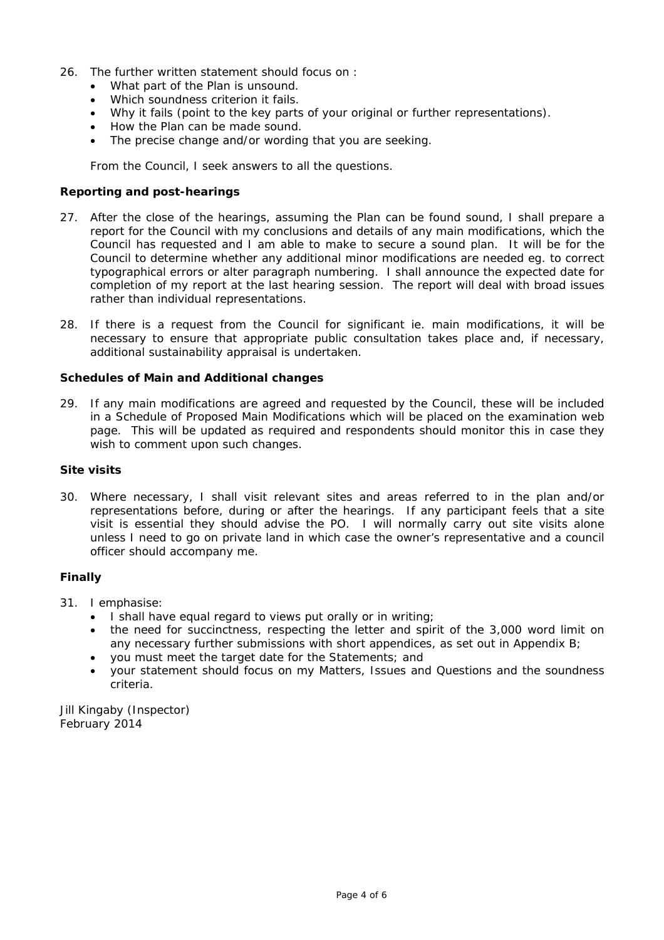- 26. The further written statement should focus on :
	- What part of the Plan is unsound.
	- Which soundness criterion it fails.
	- Why it fails (point to the key parts of your original or further representations).
	- How the Plan can be made sound.
	- The precise change and/or wording that you are seeking.

From the Council, I seek answers to all the questions.

#### **Reporting and post-hearings**

- 27. After the close of the hearings, assuming the Plan can be found sound, I shall prepare a report for the Council with my conclusions and details of any main modifications, which the Council has requested and I am able to make to secure a sound plan. It will be for the Council to determine whether any additional minor modifications are needed eg. to correct typographical errors or alter paragraph numbering. I shall announce the expected date for completion of my report at the last hearing session. The report will deal with broad issues rather than individual representations.
- 28. If there is a request from the Council for significant ie. main modifications, it will be necessary to ensure that appropriate public consultation takes place and, if necessary, additional sustainability appraisal is undertaken.

#### **Schedules of Main and Additional changes**

29. If any main modifications are agreed and requested by the Council, these will be included in a Schedule of Proposed Main Modifications which will be placed on the examination web page. This will be updated as required and respondents should monitor this in case they wish to comment upon such changes.

#### **Site visits**

30. Where necessary, I shall visit relevant sites and areas referred to in the plan and/or representations before, during or after the hearings. If any participant feels that a site visit is essential they should advise the PO. I will normally carry out site visits alone unless I need to go on private land in which case the owner's representative and a council officer should accompany me.

#### **Finally**

- 31. I emphasise:
	- I shall have equal regard to views put orally or in writing;
	- the need for succinctness, respecting the letter and spirit of the 3,000 word limit on any necessary further submissions with short appendices, as set out in Appendix B;
	- you must meet the target date for the Statements; and
	- your statement should focus on my Matters, Issues and Questions and the soundness criteria.

Jill Kingaby (Inspector) February 2014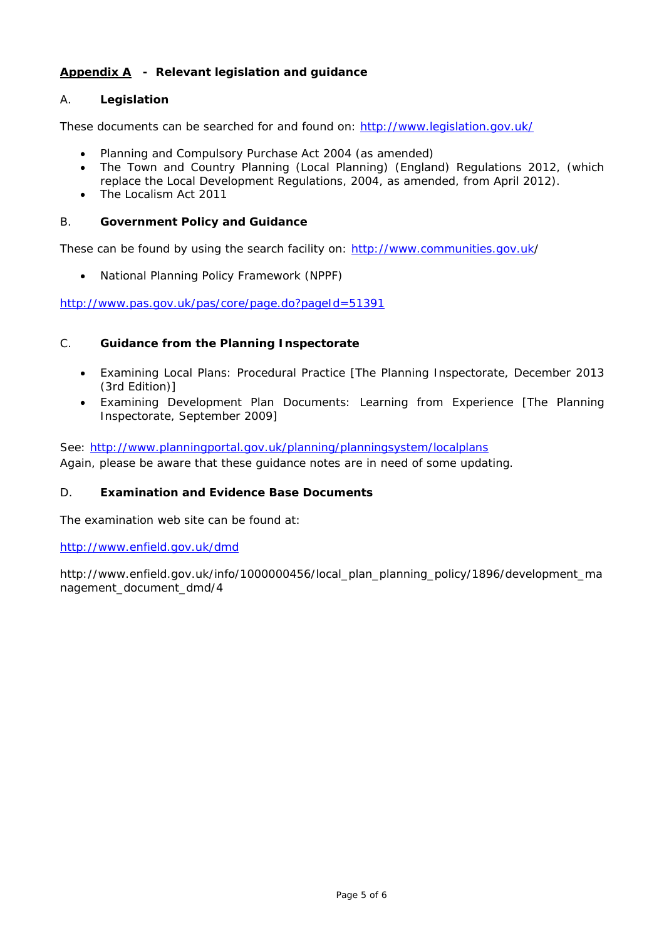# **Appendix A - Relevant legislation and guidance**

# A. **Legislation**

These documents can be searched for and found on: http://www.legislation.gov.uk/

- Planning and Compulsory Purchase Act 2004 (as amended)
- The Town and Country Planning (Local Planning) (England) Regulations 2012, *(which replace the Local Development Regulations, 2004, as amended, from April 2012)*.
- The Localism Act 2011

#### B. **Government Policy and Guidance**

These can be found by using the search facility on: http://www.communities.gov.uk/

National Planning Policy Framework (NPPF)

http://www.pas.gov.uk/pas/core/page.do?pageId=51391

#### C. **Guidance from the Planning Inspectorate**

- Examining Local Plans: Procedural Practice [The Planning Inspectorate, December 2013 (3rd Edition)]
- Examining Development Plan Documents: Learning from Experience [The Planning Inspectorate, September 2009]

See: http://www.planningportal.gov.uk/planning/planningsystem/localplans *Again, please be aware that these guidance notes are in need of some updating*.

#### D. **Examination and Evidence Base Documents**

The examination web site can be found at:

http://www.enfield.gov.uk/dmd

http://www.enfield.gov.uk/info/1000000456/local\_plan\_planning\_policy/1896/development\_ma nagement\_document\_dmd/4